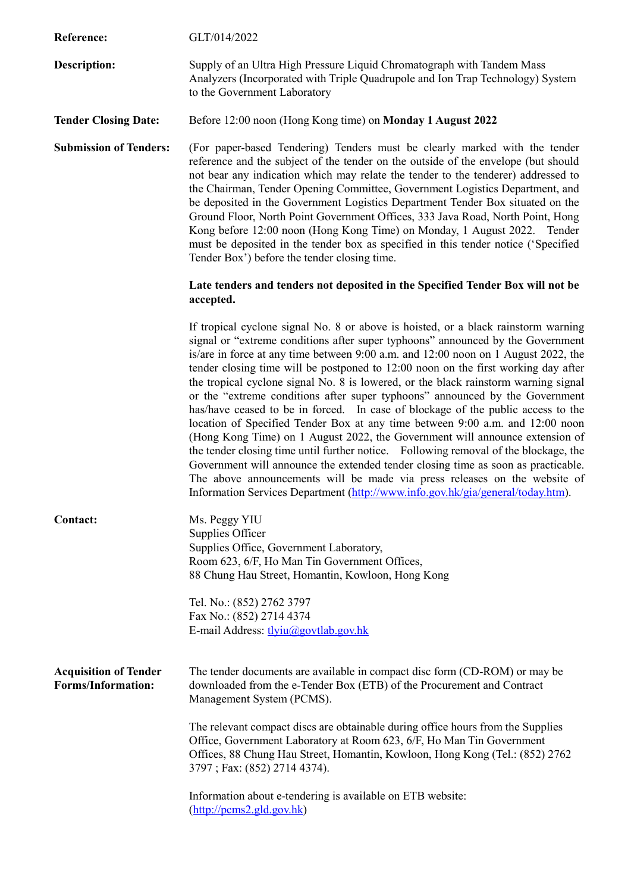| <b>Reference:</b>                                         | GLT/014/2022                                                                                                                                                                                                                                                                                                                                                                                                                                                                                                                                                                                                                                                                                                                                                                                                                                                                                                                                                                                                                                                                                                               |
|-----------------------------------------------------------|----------------------------------------------------------------------------------------------------------------------------------------------------------------------------------------------------------------------------------------------------------------------------------------------------------------------------------------------------------------------------------------------------------------------------------------------------------------------------------------------------------------------------------------------------------------------------------------------------------------------------------------------------------------------------------------------------------------------------------------------------------------------------------------------------------------------------------------------------------------------------------------------------------------------------------------------------------------------------------------------------------------------------------------------------------------------------------------------------------------------------|
| <b>Description:</b>                                       | Supply of an Ultra High Pressure Liquid Chromatograph with Tandem Mass<br>Analyzers (Incorporated with Triple Quadrupole and Ion Trap Technology) System<br>to the Government Laboratory                                                                                                                                                                                                                                                                                                                                                                                                                                                                                                                                                                                                                                                                                                                                                                                                                                                                                                                                   |
| <b>Tender Closing Date:</b>                               | Before 12:00 noon (Hong Kong time) on Monday 1 August 2022                                                                                                                                                                                                                                                                                                                                                                                                                                                                                                                                                                                                                                                                                                                                                                                                                                                                                                                                                                                                                                                                 |
| <b>Submission of Tenders:</b>                             | (For paper-based Tendering) Tenders must be clearly marked with the tender<br>reference and the subject of the tender on the outside of the envelope (but should<br>not bear any indication which may relate the tender to the tenderer) addressed to<br>the Chairman, Tender Opening Committee, Government Logistics Department, and<br>be deposited in the Government Logistics Department Tender Box situated on the<br>Ground Floor, North Point Government Offices, 333 Java Road, North Point, Hong<br>Kong before 12:00 noon (Hong Kong Time) on Monday, 1 August 2022. Tender<br>must be deposited in the tender box as specified in this tender notice ('Specified<br>Tender Box') before the tender closing time.                                                                                                                                                                                                                                                                                                                                                                                                |
|                                                           | Late tenders and tenders not deposited in the Specified Tender Box will not be<br>accepted.                                                                                                                                                                                                                                                                                                                                                                                                                                                                                                                                                                                                                                                                                                                                                                                                                                                                                                                                                                                                                                |
|                                                           | If tropical cyclone signal No. 8 or above is hoisted, or a black rainstorm warning<br>signal or "extreme conditions after super typhoons" announced by the Government<br>is/are in force at any time between 9:00 a.m. and 12:00 noon on 1 August 2022, the<br>tender closing time will be postponed to 12:00 noon on the first working day after<br>the tropical cyclone signal No. 8 is lowered, or the black rainstorm warning signal<br>or the "extreme conditions after super typhoons" announced by the Government<br>has/have ceased to be in forced. In case of blockage of the public access to the<br>location of Specified Tender Box at any time between 9:00 a.m. and 12:00 noon<br>(Hong Kong Time) on 1 August 2022, the Government will announce extension of<br>the tender closing time until further notice. Following removal of the blockage, the<br>Government will announce the extended tender closing time as soon as practicable.<br>The above announcements will be made via press releases on the website of<br>Information Services Department (http://www.info.gov.hk/gia/general/today.htm). |
| <b>Contact:</b>                                           | Ms. Peggy YIU<br>Supplies Officer<br>Supplies Office, Government Laboratory,<br>Room 623, 6/F, Ho Man Tin Government Offices,<br>88 Chung Hau Street, Homantin, Kowloon, Hong Kong                                                                                                                                                                                                                                                                                                                                                                                                                                                                                                                                                                                                                                                                                                                                                                                                                                                                                                                                         |
|                                                           | Tel. No.: (852) 2762 3797<br>Fax No.: (852) 2714 4374<br>E-mail Address: tlyiu@govtlab.gov.hk                                                                                                                                                                                                                                                                                                                                                                                                                                                                                                                                                                                                                                                                                                                                                                                                                                                                                                                                                                                                                              |
| <b>Acquisition of Tender</b><br><b>Forms/Information:</b> | The tender documents are available in compact disc form (CD-ROM) or may be<br>downloaded from the e-Tender Box (ETB) of the Procurement and Contract<br>Management System (PCMS).                                                                                                                                                                                                                                                                                                                                                                                                                                                                                                                                                                                                                                                                                                                                                                                                                                                                                                                                          |
|                                                           | The relevant compact discs are obtainable during office hours from the Supplies<br>Office, Government Laboratory at Room 623, 6/F, Ho Man Tin Government<br>Offices, 88 Chung Hau Street, Homantin, Kowloon, Hong Kong (Tel.: (852) 2762<br>3797; Fax: (852) 2714 4374).                                                                                                                                                                                                                                                                                                                                                                                                                                                                                                                                                                                                                                                                                                                                                                                                                                                   |
|                                                           | Information about e-tendering is available on ETB website:<br>$(\frac{http://pcms2-gld.gov.hk}{$                                                                                                                                                                                                                                                                                                                                                                                                                                                                                                                                                                                                                                                                                                                                                                                                                                                                                                                                                                                                                           |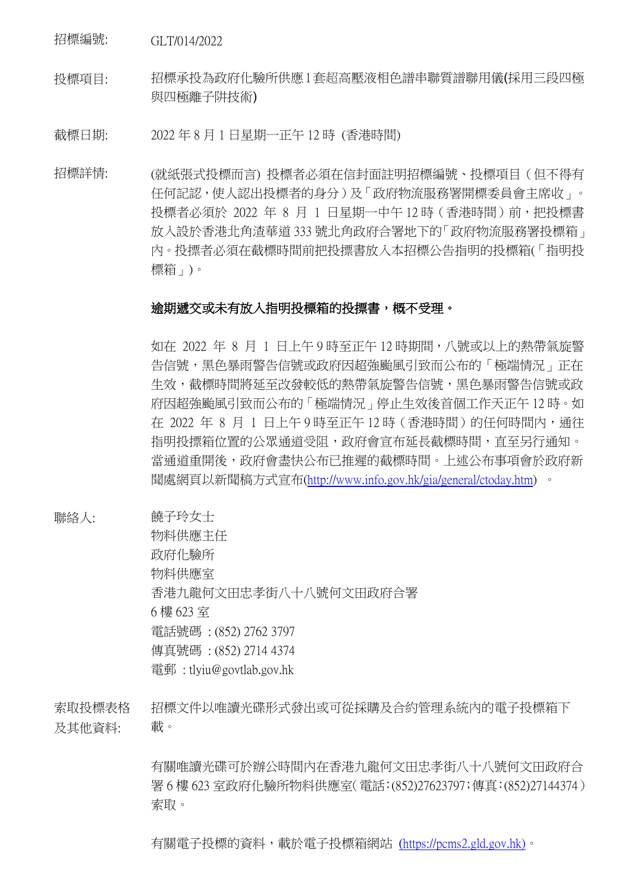招標編號: GLT/014/2022

投標項目: 招標承投為政府化驗所供應1套超高壓液相色譜串聯質譜聯用儀(採用三段四極 與四極離子阱技術)

截標日期: 2022 年 8 月 1 日星期一正午 12 時 (香港時間)

招標詳情: (就紙張式投標而言) 投標者必須在信封面註明招標編號、投標項目(但不得有 任何記認,使人認出投標者的身分)及「政府物流服務署開標委員會主席收」。 投標者必須於 2022 年 8 月 1 日星期一中午 12 時 (香港時間) 前,把投標書 放入設於香港北角渣華道 333 號北角政府合署地下的「政府物流服務署投標箱」 內。投摽者必須在截標時間前把投摽書放入本招標公告指明的投標箱(「指明投 標箱」)。

## 逾期遞交或未有放入指明投標箱的投摽書,概不受理。

如在 2022 年 8 月 1 日上午 9 時至正午 12 時期間,八號或以上的熱帶氣旋警 告信號,黑色暴雨警告信號或政府因超強颱風引致而公布的「極端情況」正在 生效,截標時間將延至改發較低的熱帶氣旋警告信號,黑色暴雨警告信號或政 府因超強颱風引致而公布的「極端情況」停止生效後首個工作天正午 12 時。如 在 2022 年 8 月 1 日上午 9 時至正午 12 時 (香港時間) 的任何時間内,通往 指明投摽箱位置的公眾通道受阻,政府會宣布延長截標時間,直至另行通知。 當通道重開後,政府會盡快公布已推遲的截標時間。上述公布事項會於政府新 聞處網頁以新聞稿方式宣布[\(http://www.info.gov.hk/gia/general/ctoday.htm\)](http://www.info.gov.hk/gia/general/ctoday.htm) 。

聯絡人: 饒子玲女士

物料供應主任 政府化驗所 物料供應室 香港九龍何文田忠孝街八十八號何文田政府合署 6 樓 623 室 電話號碼 : (852) 2762 3797 傳真號碼 : (852) 2714 4374 電郵 : tlyiu@govtlab.gov.hk

索取投標表格 及其他資料: 招標文件以唯讀光碟形式發出或可從採購及合約管理系統內的電子投標箱下 載。

> 有關唯讀光碟可於辦公時間內在香港九龍何文田忠孝街八十八號何文田政府合 署 6 樓 623 室政府化驗所物料供應室(電話:(852)27623797;傳真:(852)27144374) 索取。

有關電子投標的資料,載於電子投標箱網站 ([https://pcms2.gld.gov.hk\)](https://pcms2.gld.gov.hk/)。